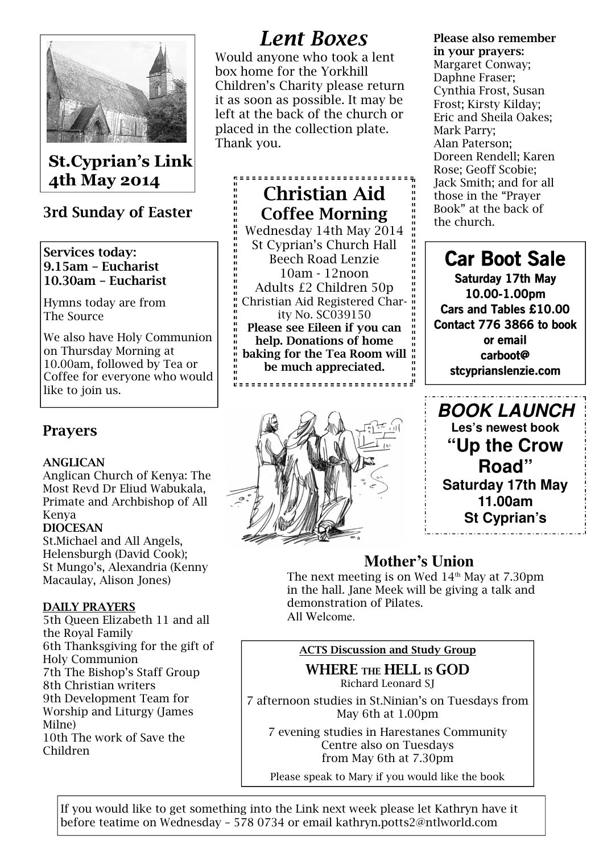

# St.Cyprian's Link 4th May 2014

# 3rd Sunday of Easter

### Services today: 9.15am – Eucharist 10.30am – Eucharist

Hymns today are from The Source

We also have Holy Communion on Thursday Morning at 10.00am, followed by Tea or Coffee for everyone who would like to join us.

## Prayers

## ANGLICAN

Anglican Church of Kenya: The Most Revd Dr Eliud Wabukala, Primate and Archbishop of All Kenya

### DIOCESAN

St.Michael and All Angels, Helensburgh (David Cook); St Mungo's, Alexandria (Kenny Macaulay, Alison Jones)

## DAILY PRAYERS

5th Queen Elizabeth 11 and all the Royal Family 6th Thanksgiving for the gift of Holy Communion 7th The Bishop's Staff Group 8th Christian writers 9th Development Team for Worship and Liturgy (James Milne) 10th The work of Save the Children

# Lent Boxes

Would anyone who took a lent box home for the Yorkhill Children's Charity please return it as soon as possible. It may be left at the back of the church or placed in the collection plate. Thank you.

,,,,,,,,,,,,,,,,,,,,,,,,,,,, Christian Aid Coffee Morning Wednesday 14th May 2014 St Cyprian's Church Hall Beech Road Lenzie 10am - 12noon Adults £2 Children 50p Christian Aid Registered Charity No. SC039150 Please see Eileen if you can help. Donations of home baking for the Tea Room will " be much appreciated. "<br>C=============================



#### Please also remember in your prayers:

Margaret Conway; Daphne Fraser; Cynthia Frost, Susan Frost; Kirsty Kilday; Eric and Sheila Oakes; Mark Parry; Alan Paterson; Doreen Rendell; Karen Rose; Geoff Scobie; Jack Smith; and for all those in the "Prayer Book" at the back of the church.

# Car Boot Sale

Saturday 17th May 10.00-1.00pm Cars and Tables £10.00 Contact 776 3866 to book or email carboot@ stcyprianslenzie.com

**BOOK LAUNCH Les's newest book "Up the Crow Road" Saturday 17th May 11.00am St Cyprian's** 

# **Mother's Union**

The next meeting is on Wed  $14<sup>th</sup>$  May at 7.30pm in the hall. Jane Meek will be giving a talk and demonstration of Pilates. All Welcome.

## ACTS Discussion and Study Group

WHERE THE HELL IS GOD Richard Leonard SJ

7 afternoon studies in St.Ninian's on Tuesdays from May 6th at 1.00pm

7 evening studies in Harestanes Community Centre also on Tuesdays from May 6th at 7.30pm

Please speak to Mary if you would like the book

If you would like to get something into the Link next week please let Kathryn have it before teatime on Wednesday – 578 0734 or email kathryn.potts2@ntlworld.com